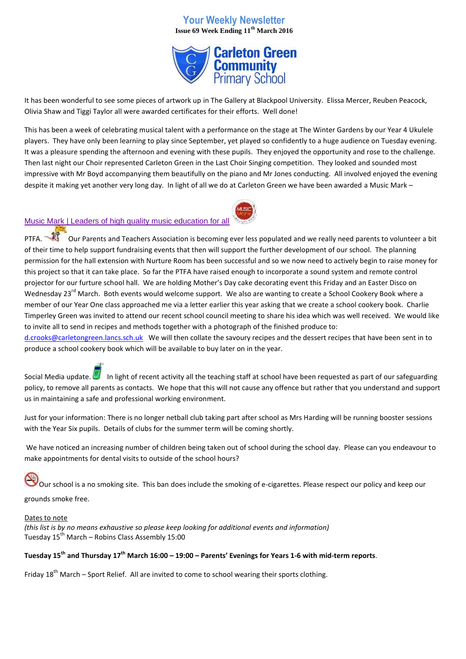## **Your Weekly Newsletter Issue 69 Week Ending 11th March 2016**



It has been wonderful to see some pieces of artwork up in The Gallery at Blackpool University. Elissa Mercer, Reuben Peacock, Olivia Shaw and Tiggi Taylor all were awarded certificates for their efforts. Well done!

This has been a week of celebrating musical talent with a performance on the stage at The Winter Gardens by our Year 4 Ukulele players. They have only been learning to play since September, yet played so confidently to a huge audience on Tuesday evening. It was a pleasure spending the afternoon and evening with these pupils. They enjoyed the opportunity and rose to the challenge. Then last night our Choir represented Carleton Green in the Last Choir Singing competition. They looked and sounded most impressive with Mr Boyd accompanying them beautifully on the piano and Mr Jones conducting. All involved enjoyed the evening despite it making yet another very long day. In light of all we do at Carleton Green we have been awarded a Music Mark –



## [Music Mark | Leaders of high quality music education for all](https://www.google.co.uk/url?sa=t&rct=j&q=&esrc=s&source=web&cd=1&cad=rja&uact=8&ved=0ahUKEwid7YTWp7jLAhVH2RoKHfPPCEcQFggcMAA&url=http%3A%2F%2Fwww.musicmark.org.uk%2F&usg=AFQjCNFCEpAP28mKYsBwYTmHtnscd2E83g)

PTFA. Our Parents and Teachers Association is becoming ever less populated and we really need parents to volunteer a bit of their time to help support fundraising events that then will support the further development of our school. The planning permission for the hall extension with Nurture Room has been successful and so we now need to actively begin to raise money for this project so that it can take place. So far the PTFA have raised enough to incorporate a sound system and remote control projector for our furture school hall. We are holding Mother's Day cake decorating event this Friday and an Easter Disco on Wednesday 23<sup>rd</sup> March. Both events would welcome support. We also are wanting to create a School Cookery Book where a member of our Year One class approached me via a letter earlier this year asking that we create a school cookery book. Charlie Timperley Green was invited to attend our recent school council meeting to share his idea which was well received. We would like to invite all to send in recipes and methods together with a photograph of the finished produce to:

[d.crooks@carletongreen.lancs.sch.uk](mailto:d.crooks@carletongreen.lancs.sch.uk) We will then collate the savoury recipes and the dessert recipes that have been sent in to produce a school cookery book which will be available to buy later on in the year.

Social Media update. In light of recent activity all the teaching staff at school have been requested as part of our safeguarding policy, to remove all parents as contacts. We hope that this will not cause any offence but rather that you understand and support us in maintaining a safe and professional working environment.

Just for your information: There is no longer netball club taking part after school as Mrs Harding will be running booster sessions with the Year Six pupils. Details of clubs for the summer term will be coming shortly.

We have noticed an increasing number of children being taken out of school during the school day. Please can you endeavour to make appointments for dental visits to outside of the school hours?

Our school is a no smoking site. This ban does include the smoking of e-cigarettes. Please respect our policy and keep our grounds smoke free.

## Dates to note

*(this list is by no means exhaustive so please keep looking for additional events and information)* Tuesday  $15^{th}$  March – Robins Class Assembly 15:00

## **Tuesday 15th and Thursday 17th March 16:00 – 19:00 – Parents' Evenings for Years 1-6 with mid-term reports**.

Friday  $18^{th}$  March – Sport Relief. All are invited to come to school wearing their sports clothing.